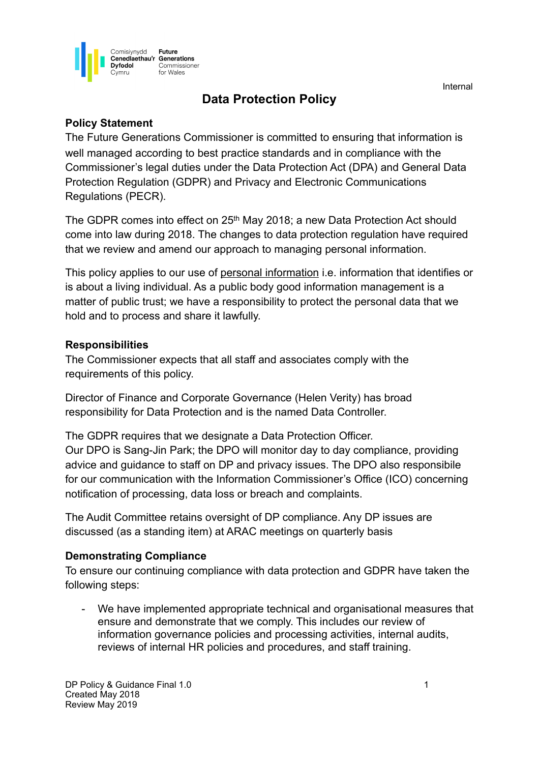**Internal Activity of the Community Contract Community Community Community Community** 



# **Data Protection Policy**

# **Policy Statement**

The Future Generations Commissioner is committed to ensuring that information is well managed according to best practice standards and in compliance with the Commissioner's legal duties under the Data Protection Act (DPA) and General Data Protection Regulation (GDPR) and Privacy and Electronic Communications Regulations (PECR).

The GDPR comes into effect on 25th May 2018; a new Data Protection Act should come into law during 2018. The changes to data protection regulation have required that we review and amend our approach to managing personal information.

This policy applies to our use of personal information i.e. information that identifies or is about a living individual. As a public body good information management is a matter of public trust; we have a responsibility to protect the personal data that we hold and to process and share it lawfully.

# **Responsibilities**

The Commissioner expects that all staff and associates comply with the requirements of this policy.

Director of Finance and Corporate Governance (Helen Verity) has broad responsibility for Data Protection and is the named Data Controller.

The GDPR requires that we designate a Data Protection Officer. Our DPO is Sang-Jin Park; the DPO will monitor day to day compliance, providing advice and guidance to staff on DP and privacy issues. The DPO also responsibile for our communication with the Information Commissioner's Office (ICO) concerning notification of processing, data loss or breach and complaints.

The Audit Committee retains oversight of DP compliance. Any DP issues are discussed (as a standing item) at ARAC meetings on quarterly basis

# **Demonstrating Compliance**

To ensure our continuing compliance with data protection and GDPR have taken the following steps:

We have implemented appropriate technical and organisational measures that ensure and demonstrate that we comply. This includes our review of information governance policies and processing activities, internal audits, reviews of internal HR policies and procedures, and staff training.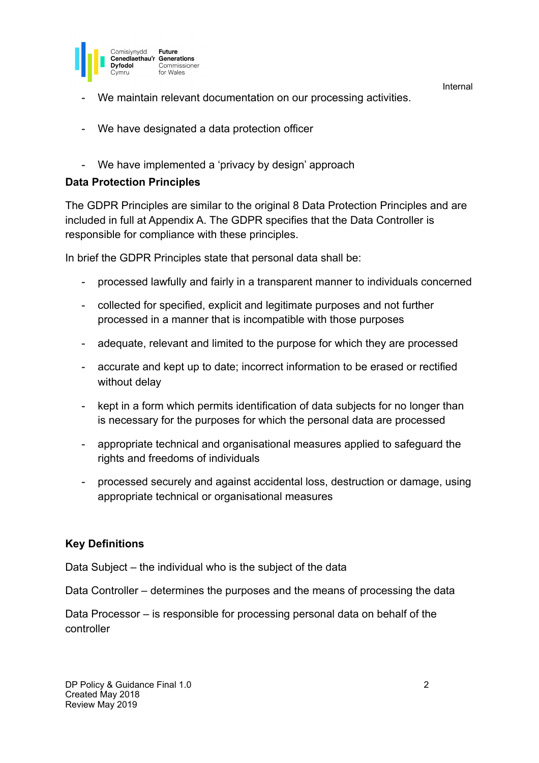



- We maintain relevant documentation on our processing activities.
- We have designated a data protection officer
- We have implemented a 'privacy by design' approach

# **Data Protection Principles**

The GDPR Principles are similar to the original 8 Data Protection Principles and are included in full at Appendix A. The GDPR specifies that the Data Controller is responsible for compliance with these principles.

In brief the GDPR Principles state that personal data shall be:

- processed lawfully and fairly in a transparent manner to individuals concerned
- collected for specified, explicit and legitimate purposes and not further processed in a manner that is incompatible with those purposes
- adequate, relevant and limited to the purpose for which they are processed
- accurate and kept up to date; incorrect information to be erased or rectified without delay
- kept in a form which permits identification of data subjects for no longer than is necessary for the purposes for which the personal data are processed
- appropriate technical and organisational measures applied to safeguard the rights and freedoms of individuals
- processed securely and against accidental loss, destruction or damage, using appropriate technical or organisational measures

# **Key Definitions**

Data Subject – the individual who is the subject of the data

Data Controller – determines the purposes and the means of processing the data

Data Processor – is responsible for processing personal data on behalf of the controller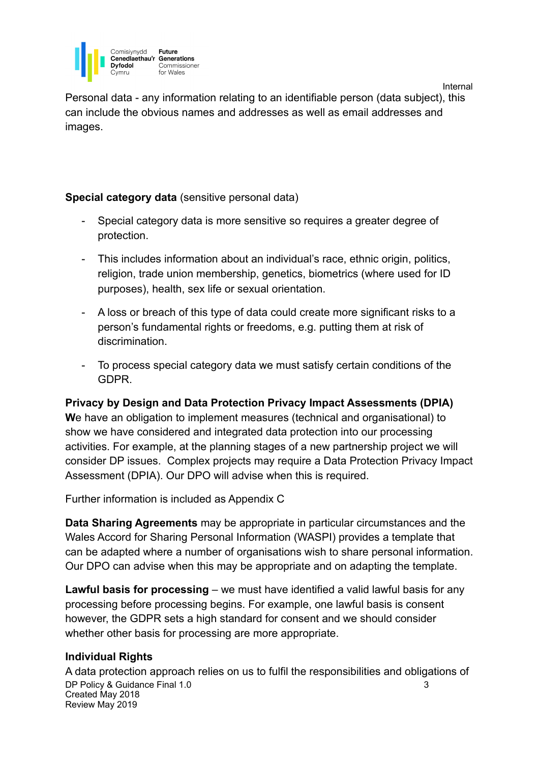

**Dyfodol** Commissioner for Wales **Internal Activity of the Community Contract Community Community Community Community** Personal data - any information relating to an identifiable person (data subject), this can include the obvious names and addresses as well as email addresses and

### **Special category data** (sensitive personal data)

images.

Comisivnydd

Future Cenedlaethau'r Generations

- Special category data is more sensitive so requires a greater degree of protection.
- This includes information about an individual's race, ethnic origin, politics, religion, trade union membership, genetics, biometrics (where used for ID purposes), health, sex life or sexual orientation.
- A loss or breach of this type of data could create more significant risks to a person's fundamental rights or freedoms, e.g. putting them at risk of discrimination.
- To process special category data we must satisfy certain conditions of the GDPR.

# **Privacy by Design and Data Protection Privacy Impact Assessments (DPIA)**

**W**e have an obligation to implement measures (technical and organisational) to show we have considered and integrated data protection into our processing activities. For example, at the planning stages of a new partnership project we will consider DP issues. Complex projects may require a Data Protection Privacy Impact Assessment (DPIA). Our DPO will advise when this is required.

Further information is included as Appendix C

**Data Sharing Agreements** may be appropriate in particular circumstances and the Wales Accord for Sharing Personal Information (WASPI) provides a template that can be adapted where a number of organisations wish to share personal information. Our DPO can advise when this may be appropriate and on adapting the template.

**Lawful basis for processing** – we must have identified a valid lawful basis for any processing before processing begins. For example, one lawful basis is consent however, the GDPR sets a high standard for consent and we should consider whether other basis for processing are more appropriate.

# **Individual Rights**

A data protection approach relies on us to fulfil the responsibilities and obligations of DP Policy & Guidance Final 1.0 3 Created May 2018 Review May 2019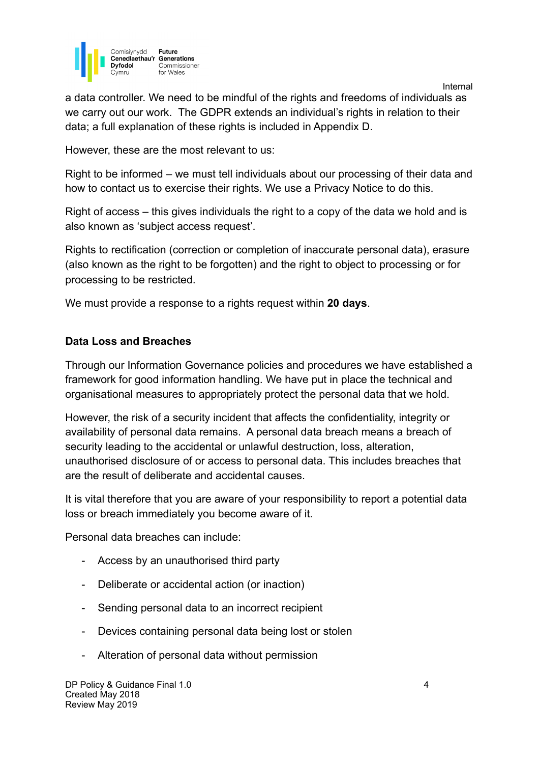

**Internal Activity of the Community Contract Community Community Community Community** a data controller. We need to be mindful of the rights and freedoms of individuals as we carry out our work.The GDPR extends an individual's rights in relation to their data; a full explanation of these rights is included in Appendix D.

However, these are the most relevant to us:

Right to be informed – we must tell individuals about our processing of their data and how to contact us to exercise their rights. We use a Privacy Notice to do this.

Right of access – this gives individuals the right to a copy of the data we hold and is also known as 'subject access request'.

Rights to rectification (correction or completion of inaccurate personal data), erasure (also known as the right to be forgotten) and the right to object to processing or for processing to be restricted.

We must provide a response to a rights request within **20 days**.

#### **Data Loss and Breaches**

Through our Information Governance policies and procedures we have established a framework for good information handling. We have put in place the technical and organisational measures to appropriately protect the personal data that we hold.

However, the risk of a security incident that affects the confidentiality, integrity or availability of personal data remains. A personal data breach means a breach of security leading to the accidental or unlawful destruction, loss, alteration, unauthorised disclosure of or access to personal data. This includes breaches that are the result of deliberate and accidental causes.

It is vital therefore that you are aware of your responsibility to report a potential data loss or breach immediately you become aware of it.

Personal data breaches can include:

- Access by an unauthorised third party
- Deliberate or accidental action (or inaction)
- Sending personal data to an incorrect recipient
- Devices containing personal data being lost or stolen
- Alteration of personal data without permission

DP Policy & Guidance Final 1.0 4 Created May 2018 Review May 2019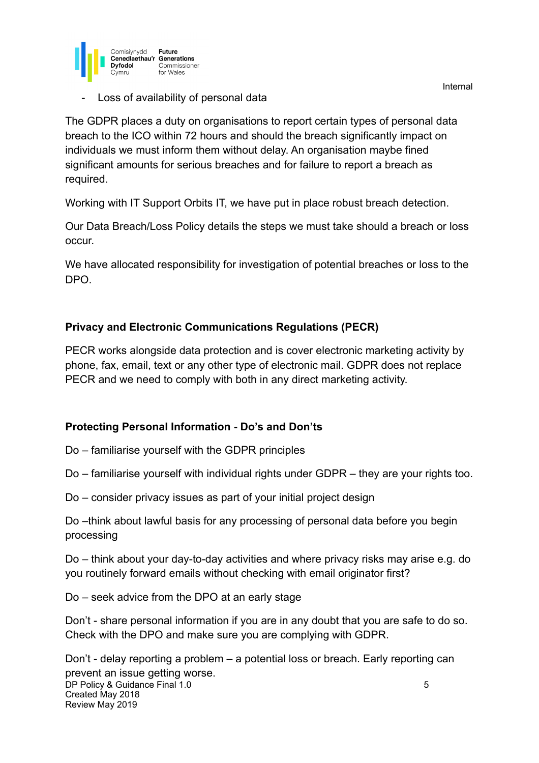



Loss of availability of personal data

The GDPR places a duty on organisations to report certain types of personal data breach to the ICO within 72 hours and should the breach significantly impact on individuals we must inform them without delay. An organisation maybe fined significant amounts for serious breaches and for failure to report a breach as required.

Working with IT Support Orbits IT, we have put in place robust breach detection.

Our Data Breach/Loss Policy details the steps we must take should a breach or loss occur.

We have allocated responsibility for investigation of potential breaches or loss to the DPO.

# **Privacy and Electronic Communications Regulations (PECR)**

PECR works alongside data protection and is cover electronic marketing activity by phone, fax, email, text or any other type of electronic mail. GDPR does not replace PECR and we need to comply with both in any direct marketing activity.

# **Protecting Personal Information - Do's and Don'ts**

Do – familiarise yourself with the GDPR principles

Do – familiarise yourself with individual rights under GDPR – they are your rights too.

Do – consider privacy issues as part of your initial project design

Do –think about lawful basis for any processing of personal data before you begin processing

Do – think about your day-to-day activities and where privacy risks may arise e.g. do you routinely forward emails without checking with email originator first?

Do – seek advice from the DPO at an early stage

Don't - share personal information if you are in any doubt that you are safe to do so. Check with the DPO and make sure you are complying with GDPR.

Don't - delay reporting a problem – a potential loss or breach. Early reporting can prevent an issue getting worse. **DP Policy & Guidance Final 1.0** 5 Created May 2018 Review May 2019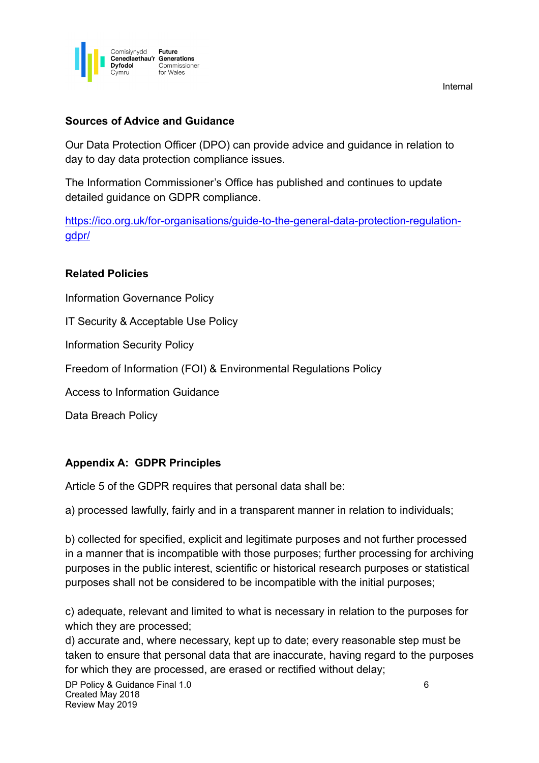

# **Sources of Advice and Guidance**

Our Data Protection Officer (DPO) can provide advice and guidance in relation to day to day data protection compliance issues.

The Information Commissioner's Office has published and continues to update detailed guidance on GDPR compliance.

[https://ico.org.uk/for-organisations/guide-to-the-general-data-protection-regulation](https://ico.org.uk/for-organisations/guide-to-the-general-data-protection-regulation-gdpr/)[gdpr/](https://ico.org.uk/for-organisations/guide-to-the-general-data-protection-regulation-gdpr/)

#### **Related Policies**

Information Governance Policy

IT Security & Acceptable Use Policy

Information Security Policy

Freedom of Information (FOI) & Environmental Regulations Policy

Access to Information Guidance

Data Breach Policy

# **Appendix A: GDPR Principles**

Article 5 of the GDPR requires that personal data shall be:

a) processed lawfully, fairly and in a transparent manner in relation to individuals;

b) collected for specified, explicit and legitimate purposes and not further processed in a manner that is incompatible with those purposes; further processing for archiving purposes in the public interest, scientific or historical research purposes or statistical purposes shall not be considered to be incompatible with the initial purposes;

c) adequate, relevant and limited to what is necessary in relation to the purposes for which they are processed;

d) accurate and, where necessary, kept up to date; every reasonable step must be taken to ensure that personal data that are inaccurate, having regard to the purposes for which they are processed, are erased or rectified without delay;

DP Policy & Guidance Final 1.0 6 Created May 2018 Review May 2019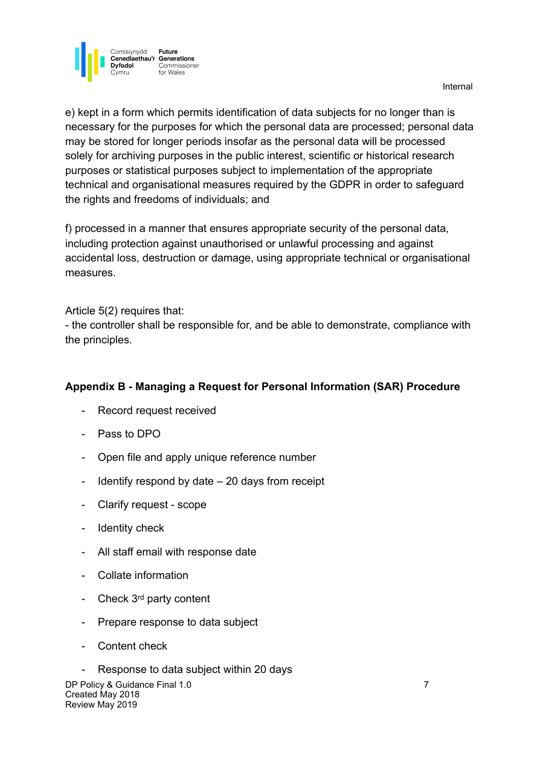

**Internal Activity of the Community Contract Community Community Community Community** 

e) kept in a form which permits identification of data subjects for no longer than is necessary for the purposes for which the personal data are processed; personal data may be stored for longer periods insofar as the personal data will be processed solely for archiving purposes in the public interest, scientific or historical research purposes or statistical purposes subject to implementation of the appropriate technical and organisational measures required by the GDPR in order to safeguard the rights and freedoms of individuals; and

f) processed in a manner that ensures appropriate security of the personal data, including protection against unauthorised or unlawful processing and against accidental loss, destruction or damage, using appropriate technical or organisational measures.

#### Article 5(2) requires that:

- the controller shall be responsible for, and be able to demonstrate, compliance with the principles.

### **Appendix B - Managing a Request for Personal Information (SAR) Procedure**

- Record request received
- Pass to DPO
- Open file and apply unique reference number
- Identify respond by date 20 days from receipt
- Clarify request scope
- Identity check
- All staff email with response date
- Collate information
- Check 3<sup>rd</sup> party content
- Prepare response to data subject
- Content check

Response to data subject within 20 days DP Policy & Guidance Final 1.0 7 Created May 2018 Review May 2019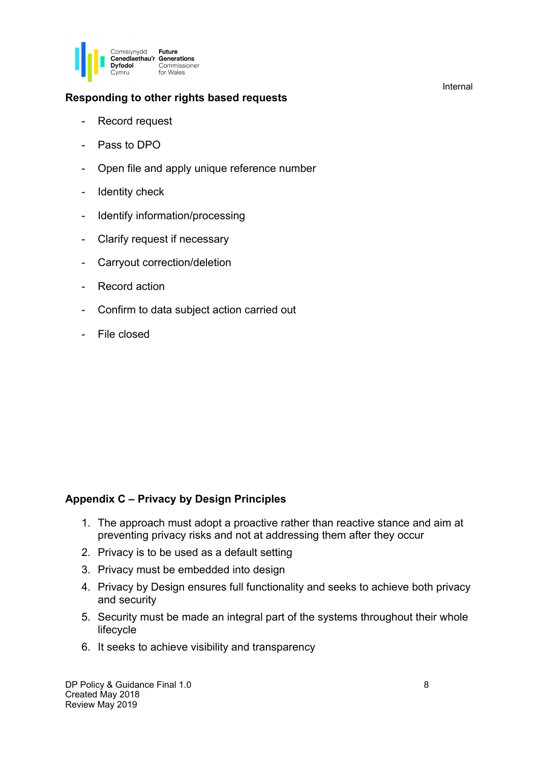

### **Responding to other rights based requests**

- Record request
- Pass to DPO
- Open file and apply unique reference number
- Identity check
- Identify information/processing
- Clarify request if necessary
- Carryout correction/deletion
- Record action
- Confirm to data subject action carried out
- File closed

#### **Appendix C – Privacy by Design Principles**

- 1. The approach must adopt a proactive rather than reactive stance and aim at preventing privacy risks and not at addressing them after they occur
- 2. Privacy is to be used as a default setting
- 3. Privacy must be embedded into design
- 4. Privacy by Design ensures full functionality and seeks to achieve both privacy and security
- 5. Security must be made an integral part of the systems throughout their whole lifecycle
- 6. It seeks to achieve visibility and transparency